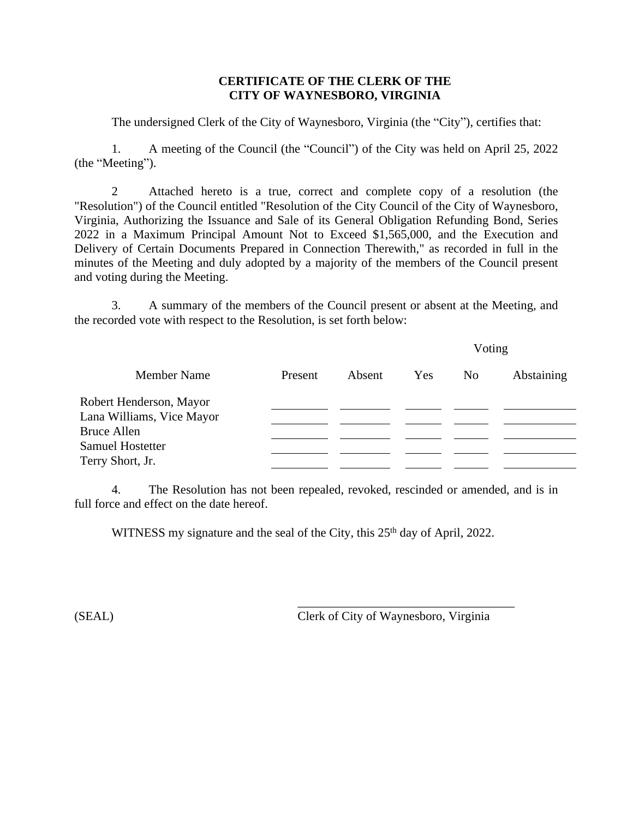## **CERTIFICATE OF THE CLERK OF THE CITY OF WAYNESBORO, VIRGINIA**

The undersigned Clerk of the City of Waynesboro, Virginia (the "City"), certifies that:

1. A meeting of the Council (the "Council") of the City was held on April 25, 2022 (the "Meeting").

2 Attached hereto is a true, correct and complete copy of a resolution (the "Resolution") of the Council entitled "Resolution of the City Council of the City of Waynesboro, Virginia, Authorizing the Issuance and Sale of its General Obligation Refunding Bond, Series 2022 in a Maximum Principal Amount Not to Exceed \$1,565,000, and the Execution and Delivery of Certain Documents Prepared in Connection Therewith," as recorded in full in the minutes of the Meeting and duly adopted by a majority of the members of the Council present and voting during the Meeting.

3. A summary of the members of the Council present or absent at the Meeting, and the recorded vote with respect to the Resolution, is set forth below:

|                           |         |        | Voting |                |            |
|---------------------------|---------|--------|--------|----------------|------------|
| <b>Member Name</b>        | Present | Absent | Yes    | N <sub>0</sub> | Abstaining |
| Robert Henderson, Mayor   |         |        |        |                |            |
| Lana Williams, Vice Mayor |         |        |        |                |            |
| <b>Bruce Allen</b>        |         |        |        |                |            |
| <b>Samuel Hostetter</b>   |         |        |        |                |            |
| Terry Short, Jr.          |         |        |        |                |            |

4. The Resolution has not been repealed, revoked, rescinded or amended, and is in full force and effect on the date hereof.

WITNESS my signature and the seal of the City, this 25<sup>th</sup> day of April, 2022.

(SEAL) Clerk of City of Waynesboro, Virginia

\_\_\_\_\_\_\_\_\_\_\_\_\_\_\_\_\_\_\_\_\_\_\_\_\_\_\_\_\_\_\_\_\_\_\_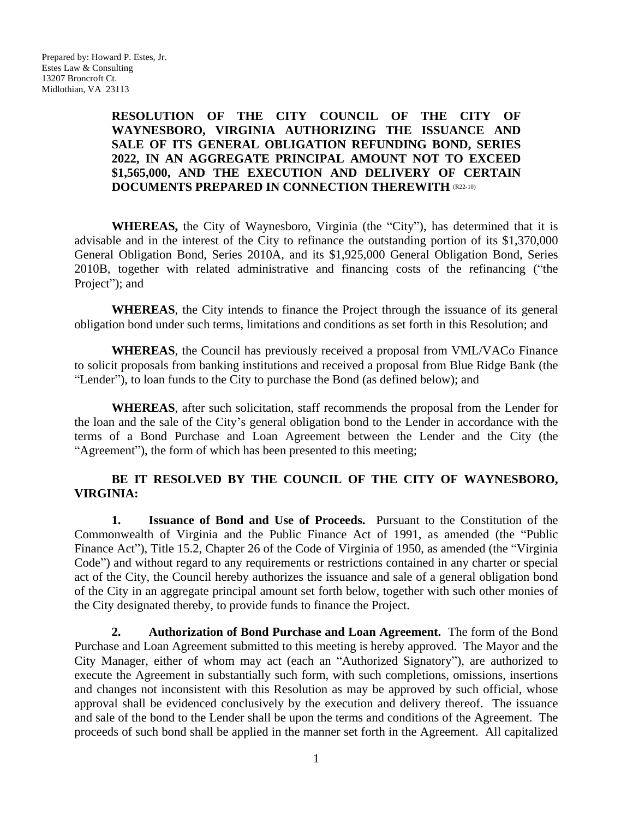# **RESOLUTION OF THE CITY COUNCIL OF THE CITY OF WAYNESBORO, VIRGINIA AUTHORIZING THE ISSUANCE AND SALE OF ITS GENERAL OBLIGATION REFUNDING BOND, SERIES 2022, IN AN AGGREGATE PRINCIPAL AMOUNT NOT TO EXCEED \$1,565,000, AND THE EXECUTION AND DELIVERY OF CERTAIN DOCUMENTS PREPARED IN CONNECTION THEREWITH (R22-10)**

**WHEREAS,** the City of Waynesboro, Virginia (the "City"), has determined that it is advisable and in the interest of the City to refinance the outstanding portion of its \$1,370,000 General Obligation Bond, Series 2010A, and its \$1,925,000 General Obligation Bond, Series 2010B, together with related administrative and financing costs of the refinancing ("the Project"); and

**WHEREAS**, the City intends to finance the Project through the issuance of its general obligation bond under such terms, limitations and conditions as set forth in this Resolution; and

**WHEREAS**, the Council has previously received a proposal from VML/VACo Finance to solicit proposals from banking institutions and received a proposal from Blue Ridge Bank (the "Lender"), to loan funds to the City to purchase the Bond (as defined below); and

**WHEREAS**, after such solicitation, staff recommends the proposal from the Lender for the loan and the sale of the City's general obligation bond to the Lender in accordance with the terms of a Bond Purchase and Loan Agreement between the Lender and the City (the "Agreement"), the form of which has been presented to this meeting;

## **BE IT RESOLVED BY THE COUNCIL OF THE CITY OF WAYNESBORO, VIRGINIA:**

**1. Issuance of Bond and Use of Proceeds.** Pursuant to the Constitution of the Commonwealth of Virginia and the Public Finance Act of 1991, as amended (the "Public Finance Act"), Title 15.2, Chapter 26 of the Code of Virginia of 1950, as amended (the "Virginia Code") and without regard to any requirements or restrictions contained in any charter or special act of the City, the Council hereby authorizes the issuance and sale of a general obligation bond of the City in an aggregate principal amount set forth below, together with such other monies of the City designated thereby, to provide funds to finance the Project.

**2. Authorization of Bond Purchase and Loan Agreement.** The form of the Bond Purchase and Loan Agreement submitted to this meeting is hereby approved. The Mayor and the City Manager, either of whom may act (each an "Authorized Signatory"), are authorized to execute the Agreement in substantially such form, with such completions, omissions, insertions and changes not inconsistent with this Resolution as may be approved by such official, whose approval shall be evidenced conclusively by the execution and delivery thereof. The issuance and sale of the bond to the Lender shall be upon the terms and conditions of the Agreement. The proceeds of such bond shall be applied in the manner set forth in the Agreement. All capitalized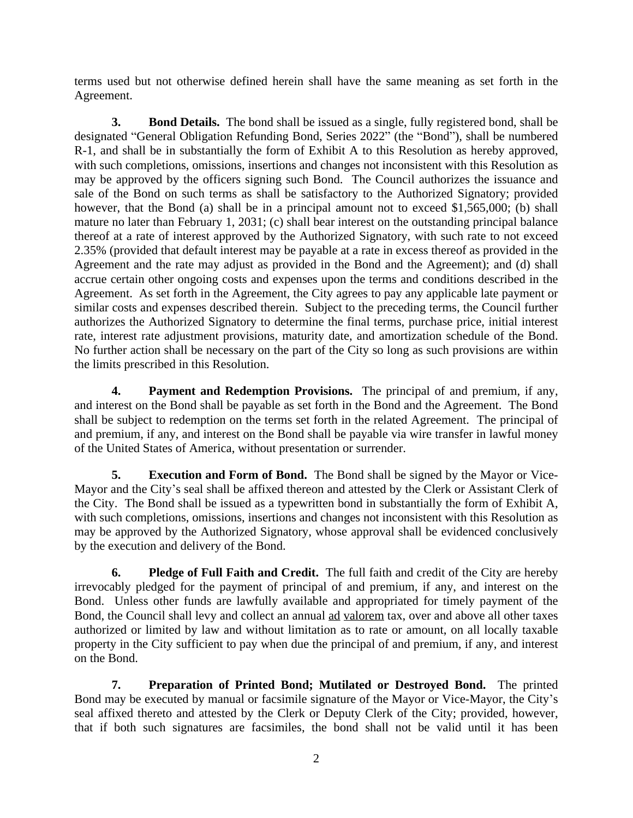terms used but not otherwise defined herein shall have the same meaning as set forth in the Agreement.

**3. Bond Details.** The bond shall be issued as a single, fully registered bond, shall be designated "General Obligation Refunding Bond, Series 2022" (the "Bond"), shall be numbered R-1, and shall be in substantially the form of Exhibit A to this Resolution as hereby approved, with such completions, omissions, insertions and changes not inconsistent with this Resolution as may be approved by the officers signing such Bond. The Council authorizes the issuance and sale of the Bond on such terms as shall be satisfactory to the Authorized Signatory; provided however, that the Bond (a) shall be in a principal amount not to exceed \$1,565,000; (b) shall mature no later than February 1, 2031; (c) shall bear interest on the outstanding principal balance thereof at a rate of interest approved by the Authorized Signatory, with such rate to not exceed 2.35% (provided that default interest may be payable at a rate in excess thereof as provided in the Agreement and the rate may adjust as provided in the Bond and the Agreement); and (d) shall accrue certain other ongoing costs and expenses upon the terms and conditions described in the Agreement. As set forth in the Agreement, the City agrees to pay any applicable late payment or similar costs and expenses described therein. Subject to the preceding terms, the Council further authorizes the Authorized Signatory to determine the final terms, purchase price, initial interest rate, interest rate adjustment provisions, maturity date, and amortization schedule of the Bond. No further action shall be necessary on the part of the City so long as such provisions are within the limits prescribed in this Resolution.

**4. Payment and Redemption Provisions.** The principal of and premium, if any, and interest on the Bond shall be payable as set forth in the Bond and the Agreement. The Bond shall be subject to redemption on the terms set forth in the related Agreement. The principal of and premium, if any, and interest on the Bond shall be payable via wire transfer in lawful money of the United States of America, without presentation or surrender.

**5. Execution and Form of Bond.** The Bond shall be signed by the Mayor or Vice-Mayor and the City's seal shall be affixed thereon and attested by the Clerk or Assistant Clerk of the City. The Bond shall be issued as a typewritten bond in substantially the form of Exhibit A, with such completions, omissions, insertions and changes not inconsistent with this Resolution as may be approved by the Authorized Signatory, whose approval shall be evidenced conclusively by the execution and delivery of the Bond.

**6. Pledge of Full Faith and Credit.** The full faith and credit of the City are hereby irrevocably pledged for the payment of principal of and premium, if any, and interest on the Bond. Unless other funds are lawfully available and appropriated for timely payment of the Bond, the Council shall levy and collect an annual ad valorem tax, over and above all other taxes authorized or limited by law and without limitation as to rate or amount, on all locally taxable property in the City sufficient to pay when due the principal of and premium, if any, and interest on the Bond.

**7. Preparation of Printed Bond; Mutilated or Destroyed Bond.** The printed Bond may be executed by manual or facsimile signature of the Mayor or Vice-Mayor, the City's seal affixed thereto and attested by the Clerk or Deputy Clerk of the City; provided, however, that if both such signatures are facsimiles, the bond shall not be valid until it has been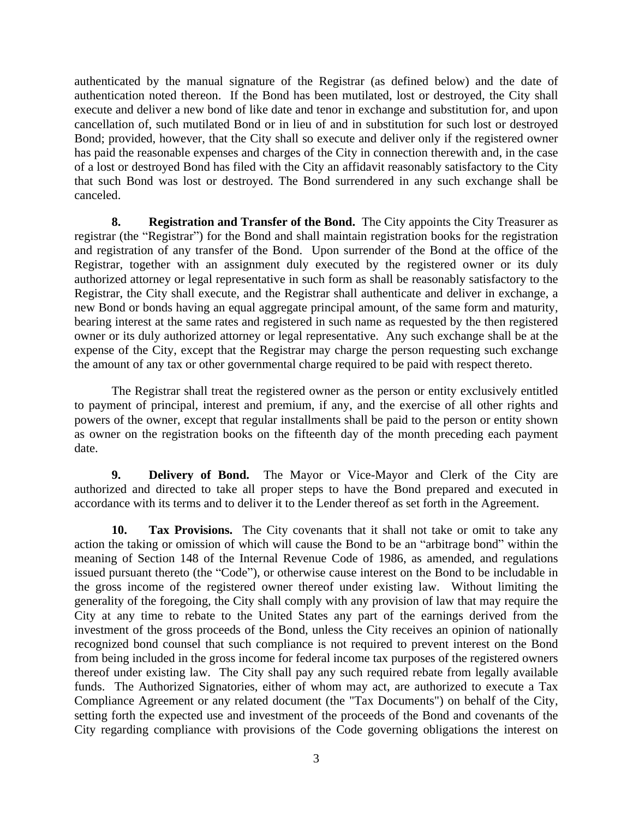authenticated by the manual signature of the Registrar (as defined below) and the date of authentication noted thereon. If the Bond has been mutilated, lost or destroyed, the City shall execute and deliver a new bond of like date and tenor in exchange and substitution for, and upon cancellation of, such mutilated Bond or in lieu of and in substitution for such lost or destroyed Bond; provided, however, that the City shall so execute and deliver only if the registered owner has paid the reasonable expenses and charges of the City in connection therewith and, in the case of a lost or destroyed Bond has filed with the City an affidavit reasonably satisfactory to the City that such Bond was lost or destroyed. The Bond surrendered in any such exchange shall be canceled.

**8. Registration and Transfer of the Bond.** The City appoints the City Treasurer as registrar (the "Registrar") for the Bond and shall maintain registration books for the registration and registration of any transfer of the Bond. Upon surrender of the Bond at the office of the Registrar, together with an assignment duly executed by the registered owner or its duly authorized attorney or legal representative in such form as shall be reasonably satisfactory to the Registrar, the City shall execute, and the Registrar shall authenticate and deliver in exchange, a new Bond or bonds having an equal aggregate principal amount, of the same form and maturity, bearing interest at the same rates and registered in such name as requested by the then registered owner or its duly authorized attorney or legal representative. Any such exchange shall be at the expense of the City, except that the Registrar may charge the person requesting such exchange the amount of any tax or other governmental charge required to be paid with respect thereto.

The Registrar shall treat the registered owner as the person or entity exclusively entitled to payment of principal, interest and premium, if any, and the exercise of all other rights and powers of the owner, except that regular installments shall be paid to the person or entity shown as owner on the registration books on the fifteenth day of the month preceding each payment date.

**9. Delivery of Bond.** The Mayor or Vice-Mayor and Clerk of the City are authorized and directed to take all proper steps to have the Bond prepared and executed in accordance with its terms and to deliver it to the Lender thereof as set forth in the Agreement.

**10. Tax Provisions.** The City covenants that it shall not take or omit to take any action the taking or omission of which will cause the Bond to be an "arbitrage bond" within the meaning of Section 148 of the Internal Revenue Code of 1986, as amended, and regulations issued pursuant thereto (the "Code"), or otherwise cause interest on the Bond to be includable in the gross income of the registered owner thereof under existing law. Without limiting the generality of the foregoing, the City shall comply with any provision of law that may require the City at any time to rebate to the United States any part of the earnings derived from the investment of the gross proceeds of the Bond, unless the City receives an opinion of nationally recognized bond counsel that such compliance is not required to prevent interest on the Bond from being included in the gross income for federal income tax purposes of the registered owners thereof under existing law. The City shall pay any such required rebate from legally available funds. The Authorized Signatories, either of whom may act, are authorized to execute a Tax Compliance Agreement or any related document (the "Tax Documents") on behalf of the City, setting forth the expected use and investment of the proceeds of the Bond and covenants of the City regarding compliance with provisions of the Code governing obligations the interest on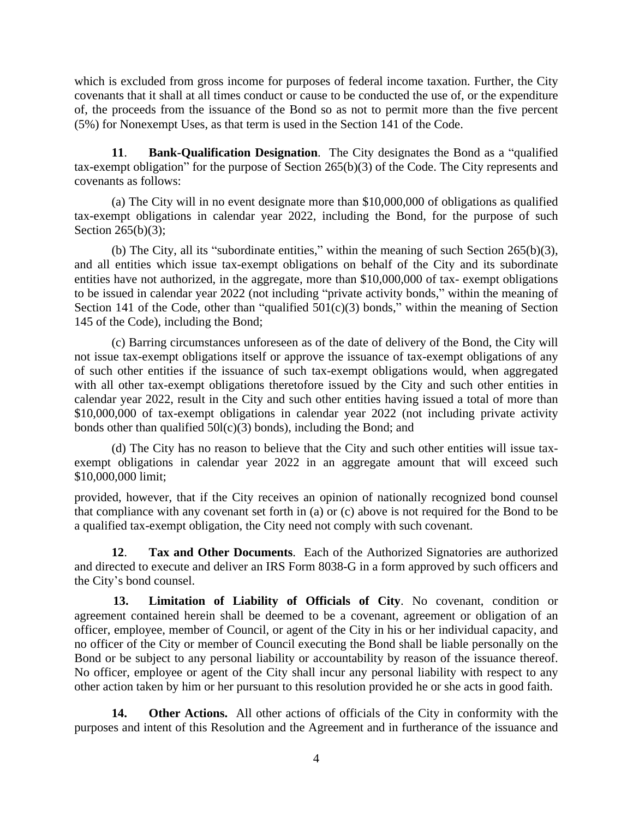which is excluded from gross income for purposes of federal income taxation. Further, the City covenants that it shall at all times conduct or cause to be conducted the use of, or the expenditure of, the proceeds from the issuance of the Bond so as not to permit more than the five percent (5%) for Nonexempt Uses, as that term is used in the Section 141 of the Code.

**11**. **Bank-Qualification Designation**. The City designates the Bond as a "qualified tax-exempt obligation" for the purpose of Section 265(b)(3) of the Code. The City represents and covenants as follows:

(a) The City will in no event designate more than \$10,000,000 of obligations as qualified tax-exempt obligations in calendar year 2022, including the Bond, for the purpose of such Section 265(b)(3);

(b) The City, all its "subordinate entities," within the meaning of such Section 265(b)(3), and all entities which issue tax-exempt obligations on behalf of the City and its subordinate entities have not authorized, in the aggregate, more than \$10,000,000 of tax- exempt obligations to be issued in calendar year 2022 (not including "private activity bonds," within the meaning of Section 141 of the Code, other than "qualified  $501(c)(3)$  bonds," within the meaning of Section 145 of the Code), including the Bond;

(c) Barring circumstances unforeseen as of the date of delivery of the Bond, the City will not issue tax-exempt obligations itself or approve the issuance of tax-exempt obligations of any of such other entities if the issuance of such tax-exempt obligations would, when aggregated with all other tax-exempt obligations theretofore issued by the City and such other entities in calendar year 2022, result in the City and such other entities having issued a total of more than \$10,000,000 of tax-exempt obligations in calendar year 2022 (not including private activity bonds other than qualified  $50I(c)(3)$  bonds), including the Bond; and

(d) The City has no reason to believe that the City and such other entities will issue taxexempt obligations in calendar year 2022 in an aggregate amount that will exceed such \$10,000,000 limit;

provided, however, that if the City receives an opinion of nationally recognized bond counsel that compliance with any covenant set forth in (a) or (c) above is not required for the Bond to be a qualified tax-exempt obligation, the City need not comply with such covenant.

**12**. **Tax and Other Documents**. Each of the Authorized Signatories are authorized and directed to execute and deliver an IRS Form 8038-G in a form approved by such officers and the City's bond counsel.

**13. Limitation of Liability of Officials of City**. No covenant, condition or agreement contained herein shall be deemed to be a covenant, agreement or obligation of an officer, employee, member of Council, or agent of the City in his or her individual capacity, and no officer of the City or member of Council executing the Bond shall be liable personally on the Bond or be subject to any personal liability or accountability by reason of the issuance thereof. No officer, employee or agent of the City shall incur any personal liability with respect to any other action taken by him or her pursuant to this resolution provided he or she acts in good faith.

**14. Other Actions.** All other actions of officials of the City in conformity with the purposes and intent of this Resolution and the Agreement and in furtherance of the issuance and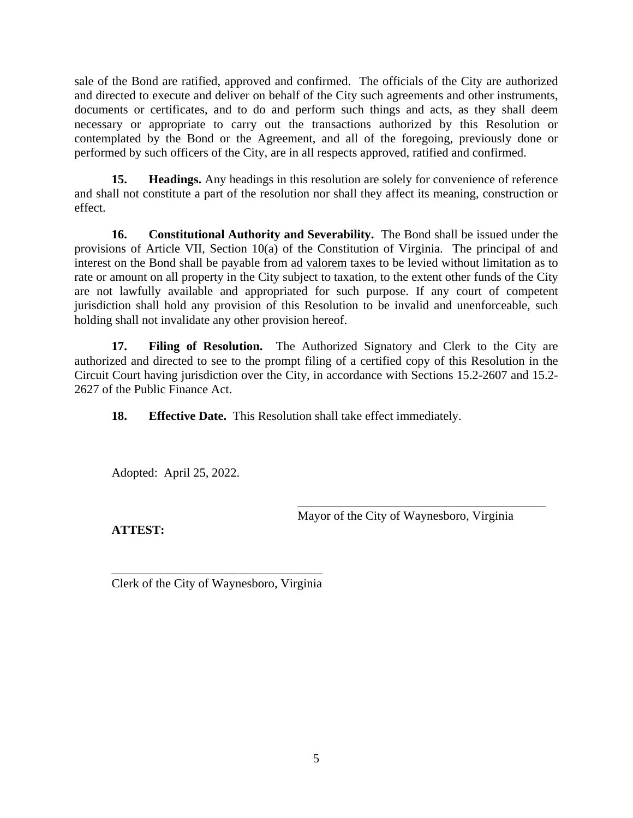sale of the Bond are ratified, approved and confirmed. The officials of the City are authorized and directed to execute and deliver on behalf of the City such agreements and other instruments, documents or certificates, and to do and perform such things and acts, as they shall deem necessary or appropriate to carry out the transactions authorized by this Resolution or contemplated by the Bond or the Agreement, and all of the foregoing, previously done or performed by such officers of the City, are in all respects approved, ratified and confirmed.

**15. Headings.** Any headings in this resolution are solely for convenience of reference and shall not constitute a part of the resolution nor shall they affect its meaning, construction or effect.

**16. Constitutional Authority and Severability.** The Bond shall be issued under the provisions of Article VII, Section 10(a) of the Constitution of Virginia. The principal of and interest on the Bond shall be payable from ad valorem taxes to be levied without limitation as to rate or amount on all property in the City subject to taxation, to the extent other funds of the City are not lawfully available and appropriated for such purpose. If any court of competent jurisdiction shall hold any provision of this Resolution to be invalid and unenforceable, such holding shall not invalidate any other provision hereof.

**17. Filing of Resolution.** The Authorized Signatory and Clerk to the City are authorized and directed to see to the prompt filing of a certified copy of this Resolution in the Circuit Court having jurisdiction over the City, in accordance with Sections 15.2-2607 and 15.2- 2627 of the Public Finance Act.

**18. Effective Date.** This Resolution shall take effect immediately.

Adopted: April 25, 2022.

\_\_\_\_\_\_\_\_\_\_\_\_\_\_\_\_\_\_\_\_\_\_\_\_\_\_\_\_\_\_\_\_\_\_\_\_\_\_\_\_ Mayor of the City of Waynesboro, Virginia

**ATTEST:**

\_\_\_\_\_\_\_\_\_\_\_\_\_\_\_\_\_\_\_\_\_\_\_\_\_\_\_\_\_\_\_\_\_\_ Clerk of the City of Waynesboro, Virginia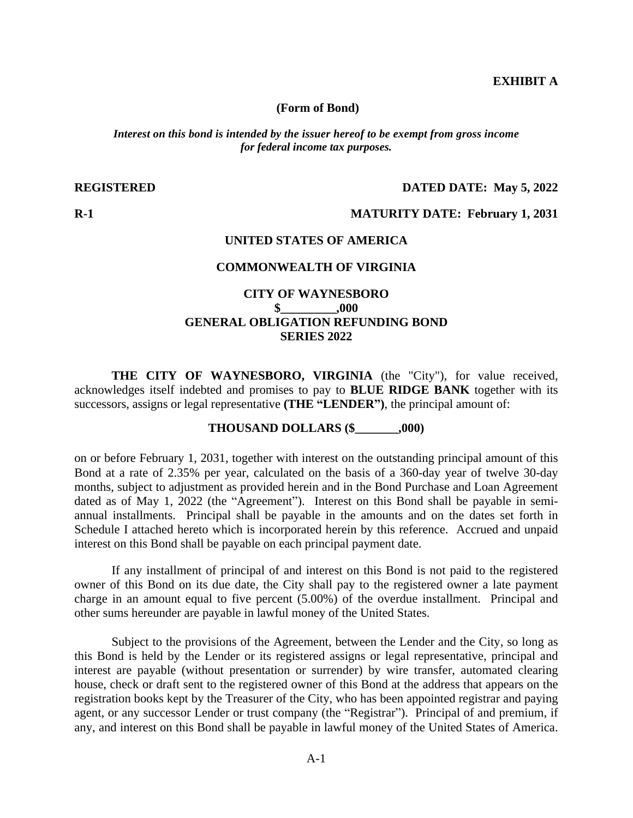## **EXHIBIT A**

**(Form of Bond)**

*Interest on this bond is intended by the issuer hereof to be exempt from gross income for federal income tax purposes.*

**REGISTERED DATED DATE: May 5, 2022**

### **R-1 MATURITY DATE: February 1, 2031**

#### **UNITED STATES OF AMERICA**

### **COMMONWEALTH OF VIRGINIA**

## **CITY OF WAYNESBORO \$\_\_\_\_\_\_\_\_\_,000 GENERAL OBLIGATION REFUNDING BOND SERIES 2022**

**THE CITY OF WAYNESBORO, VIRGINIA** (the "City"), for value received, acknowledges itself indebted and promises to pay to **BLUE RIDGE BANK** together with its successors, assigns or legal representative **(THE "LENDER")**, the principal amount of:

## **THOUSAND DOLLARS (\$\_\_\_\_\_\_\_,000)**

on or before February 1, 2031, together with interest on the outstanding principal amount of this Bond at a rate of 2.35% per year, calculated on the basis of a 360-day year of twelve 30-day months, subject to adjustment as provided herein and in the Bond Purchase and Loan Agreement dated as of May 1, 2022 (the "Agreement"). Interest on this Bond shall be payable in semiannual installments. Principal shall be payable in the amounts and on the dates set forth in Schedule I attached hereto which is incorporated herein by this reference. Accrued and unpaid interest on this Bond shall be payable on each principal payment date.

If any installment of principal of and interest on this Bond is not paid to the registered owner of this Bond on its due date, the City shall pay to the registered owner a late payment charge in an amount equal to five percent (5.00%) of the overdue installment. Principal and other sums hereunder are payable in lawful money of the United States.

Subject to the provisions of the Agreement, between the Lender and the City, so long as this Bond is held by the Lender or its registered assigns or legal representative, principal and interest are payable (without presentation or surrender) by wire transfer, automated clearing house, check or draft sent to the registered owner of this Bond at the address that appears on the registration books kept by the Treasurer of the City, who has been appointed registrar and paying agent, or any successor Lender or trust company (the "Registrar"). Principal of and premium, if any, and interest on this Bond shall be payable in lawful money of the United States of America.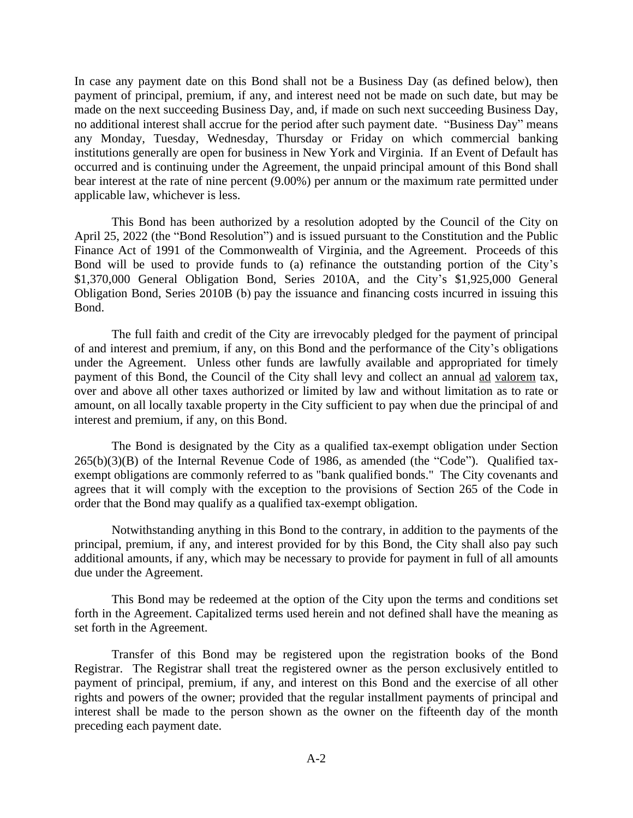In case any payment date on this Bond shall not be a Business Day (as defined below), then payment of principal, premium, if any, and interest need not be made on such date, but may be made on the next succeeding Business Day, and, if made on such next succeeding Business Day, no additional interest shall accrue for the period after such payment date. "Business Day" means any Monday, Tuesday, Wednesday, Thursday or Friday on which commercial banking institutions generally are open for business in New York and Virginia. If an Event of Default has occurred and is continuing under the Agreement, the unpaid principal amount of this Bond shall bear interest at the rate of nine percent (9.00%) per annum or the maximum rate permitted under applicable law, whichever is less.

This Bond has been authorized by a resolution adopted by the Council of the City on April 25, 2022 (the "Bond Resolution") and is issued pursuant to the Constitution and the Public Finance Act of 1991 of the Commonwealth of Virginia, and the Agreement. Proceeds of this Bond will be used to provide funds to (a) refinance the outstanding portion of the City's \$1,370,000 General Obligation Bond, Series 2010A, and the City's \$1,925,000 General Obligation Bond, Series 2010B (b) pay the issuance and financing costs incurred in issuing this Bond.

The full faith and credit of the City are irrevocably pledged for the payment of principal of and interest and premium, if any, on this Bond and the performance of the City's obligations under the Agreement. Unless other funds are lawfully available and appropriated for timely payment of this Bond, the Council of the City shall levy and collect an annual ad valorem tax, over and above all other taxes authorized or limited by law and without limitation as to rate or amount, on all locally taxable property in the City sufficient to pay when due the principal of and interest and premium, if any, on this Bond.

The Bond is designated by the City as a qualified tax-exempt obligation under Section  $265(b)(3)(B)$  of the Internal Revenue Code of 1986, as amended (the "Code"). Qualified taxexempt obligations are commonly referred to as "bank qualified bonds." The City covenants and agrees that it will comply with the exception to the provisions of Section 265 of the Code in order that the Bond may qualify as a qualified tax-exempt obligation.

Notwithstanding anything in this Bond to the contrary, in addition to the payments of the principal, premium, if any, and interest provided for by this Bond, the City shall also pay such additional amounts, if any, which may be necessary to provide for payment in full of all amounts due under the Agreement.

This Bond may be redeemed at the option of the City upon the terms and conditions set forth in the Agreement. Capitalized terms used herein and not defined shall have the meaning as set forth in the Agreement.

Transfer of this Bond may be registered upon the registration books of the Bond Registrar. The Registrar shall treat the registered owner as the person exclusively entitled to payment of principal, premium, if any, and interest on this Bond and the exercise of all other rights and powers of the owner; provided that the regular installment payments of principal and interest shall be made to the person shown as the owner on the fifteenth day of the month preceding each payment date.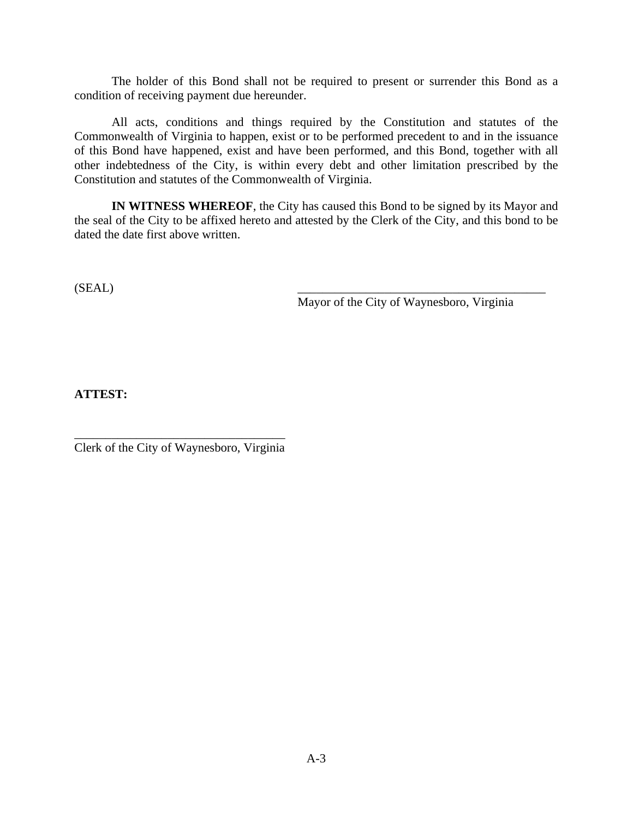The holder of this Bond shall not be required to present or surrender this Bond as a condition of receiving payment due hereunder.

All acts, conditions and things required by the Constitution and statutes of the Commonwealth of Virginia to happen, exist or to be performed precedent to and in the issuance of this Bond have happened, exist and have been performed, and this Bond, together with all other indebtedness of the City, is within every debt and other limitation prescribed by the Constitution and statutes of the Commonwealth of Virginia.

**IN WITNESS WHEREOF**, the City has caused this Bond to be signed by its Mayor and the seal of the City to be affixed hereto and attested by the Clerk of the City, and this bond to be dated the date first above written.

 $(SEAL)$   $\qquad \qquad \qquad$ 

Mayor of the City of Waynesboro, Virginia

**ATTEST:**

\_\_\_\_\_\_\_\_\_\_\_\_\_\_\_\_\_\_\_\_\_\_\_\_\_\_\_\_\_\_\_\_\_\_ Clerk of the City of Waynesboro, Virginia